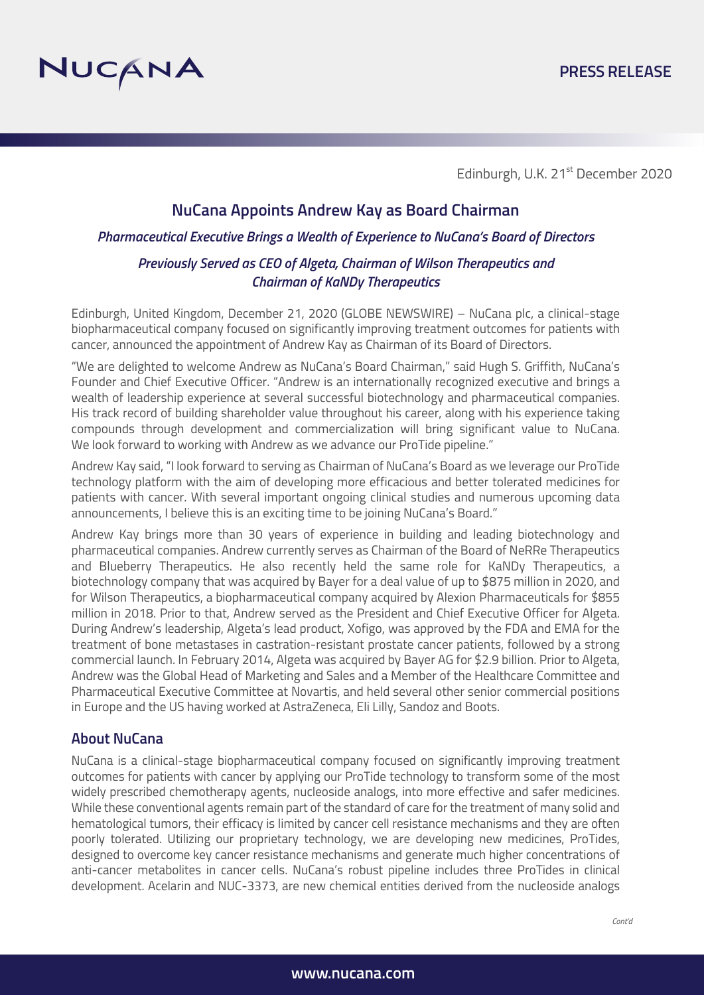

Edinburgh, U.K. 21<sup>st</sup> December 2020

# **NuCana Appoints Andrew Kay as Board Chairman**

# *Pharmaceutical Executive Brings a Wealth of Experience to NuCana's Board of Directors Previously Served as CEO of Algeta, Chairman of Wilson Therapeutics and Chairman of KaNDy Therapeutics*

Edinburgh, United Kingdom, December 21, 2020 (GLOBE NEWSWIRE) – NuCana plc, a clinical-stage biopharmaceutical company focused on significantly improving treatment outcomes for patients with cancer, announced the appointment of Andrew Kay as Chairman of its Board of Directors.

"We are delighted to welcome Andrew as NuCana's Board Chairman," said Hugh S. Griffith, NuCana's Founder and Chief Executive Officer. "Andrew is an internationally recognized executive and brings a wealth of leadership experience at several successful biotechnology and pharmaceutical companies. His track record of building shareholder value throughout his career, along with his experience taking compounds through development and commercialization will bring significant value to NuCana. We look forward to working with Andrew as we advance our ProTide pipeline."

Andrew Kay said, "I look forward to serving as Chairman of NuCana's Board as we leverage our ProTide technology platform with the aim of developing more efficacious and better tolerated medicines for patients with cancer. With several important ongoing clinical studies and numerous upcoming data announcements, I believe this is an exciting time to be joining NuCana's Board."

Andrew Kay brings more than 30 years of experience in building and leading biotechnology and pharmaceutical companies. Andrew currently serves as Chairman of the Board of NeRRe Therapeutics and Blueberry Therapeutics. He also recently held the same role for KaNDy Therapeutics, a biotechnology company that was acquired by Bayer for a deal value of up to \$875 million in 2020, and for Wilson Therapeutics, a biopharmaceutical company acquired by Alexion Pharmaceuticals for \$855 million in 2018. Prior to that, Andrew served as the President and Chief Executive Officer for Algeta. During Andrew's leadership, Algeta's lead product, Xofigo, was approved by the FDA and EMA for the treatment of bone metastases in castration-resistant prostate cancer patients, followed by a strong commercial launch. In February 2014, Algeta was acquired by Bayer AG for \$2.9 billion. Prior to Algeta, Andrew was the Global Head of Marketing and Sales and a Member of the Healthcare Committee and Pharmaceutical Executive Committee at Novartis, and held several other senior commercial positions in Europe and the US having worked at AstraZeneca, Eli Lilly, Sandoz and Boots.

## **About NuCana**

NuCana is a clinical-stage biopharmaceutical company focused on significantly improving treatment outcomes for patients with cancer by applying our ProTide technology to transform some of the most widely prescribed chemotherapy agents, nucleoside analogs, into more effective and safer medicines. While these conventional agents remain part of the standard of care for the treatment of many solid and hematological tumors, their efficacy is limited by cancer cell resistance mechanisms and they are often poorly tolerated. Utilizing our proprietary technology, we are developing new medicines, ProTides, designed to overcome key cancer resistance mechanisms and generate much higher concentrations of anti-cancer metabolites in cancer cells. NuCana's robust pipeline includes three ProTides in clinical development. Acelarin and NUC-3373, are new chemical entities derived from the nucleoside analogs